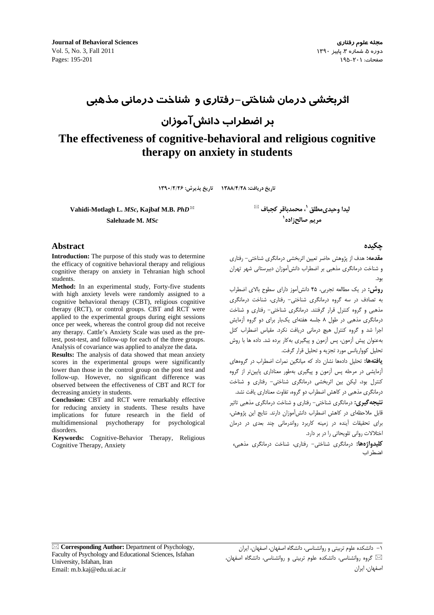**Journal of Behavioral Sciences** Vol. 5, No. 3, Fall 2011 Pages: 195-201

# اثربخشی درمان شناختی–رفتاری و شناخت درمانی مذهبی

بر اضطراب دانشآموزان

# The effectiveness of cognitive-behavioral and religious cognitive therapy on anxiety in students

تاريخ دريافت: ١٣٨٨/٤/٢٨ تاريخ پذيرش: ١٣٩٠/٢/٢۶

Vahidi-Motlagh L. MSc, Kajbaf M.B. PhD $^{\boxtimes}$ Salehzade M. MSc

**Abstract** 

**Introduction:** The purpose of this study was to determine the efficacy of cognitive behavioral therapy and religious cognitive therapy on anxiety in Tehranian high school students.

Method: In an experimental study, Forty-five students with high anxiety levels were randomly assigned to a cognitive behavioral therapy (CBT), religious cognitive therapy (RCT), or control groups. CBT and RCT were applied to the experimental groups during eight sessions once per week, whereas the control group did not receive any therapy. Cattle's Anxiety Scale was used as the pretest, post-test, and follow-up for each of the three groups. Analysis of covariance was applied to analyze the data.

**Results:** The analysis of data showed that mean anxiety scores in the experimental groups were significantly lower than those in the control group on the post test and follow-up. However, no significant difference was observed between the effectiveness of CBT and RCT for decreasing anxiety in students.

**Conclusion:** CBT and RCT were remarkably effective for reducing anxiety in students. These results have implications for future research in the field of multidimensional psychotherapy for psychological disorders.

Keywords: Cognitive-Behavior Therapy, Religious Cognitive Therapy, Anxiety

ليدا وحيدىمطلق <sup>י</sup>، محمدباقر كجباف <sup>⊠</sup> مريم صالح; اده`

## حكىدە

اصفهان، ایران

**مقدمه:** هدف از پژوهش حاضر تعیین اثربخشی درمانگری شناختی– رفتاری و شناخت درمانگری مذهبی بر اضطراب دانش آموزان دیبرستانی شهر تهران ىود.

روش: در یک مطالعه تجربی، ۴۵ دانش آموز دارای سطوح بالای اضطراب به تصادف در سه گروه درمانگری شناختی- رفتاری، شناخت درمانگری مذهبی و گروه کنترل قرار گرفتند. درمانگری شناختی- رفتاری و شناخت درمانگری مذهبی در طول ٨ جلسه هفتهای یکبار برای دو گروه آزمایش اجرا شد و گروه کنترل هیچ درمانی دریافت نکرد. مقیاس اضطراب کتل بهعنوان پیش آزمون، پس آزمون و پیگیری به کار برده شد. داده ها با روش تحليل كوواريانس مورد تجزيه و تحليل قرار گرفت.

**یافتهها:** تحلیل دادهها نشان داد که میانگین نمرات اضطراب در گروههای آزمایشی در مرحله پس آزمون و پیگیری بهطور معناداری پایین تر از گروه كنترل بود، ليكن بين اثربخشى درمانگرى شناختى- رفتارى و شناخت درمانگری مذهبی در کاهش اضطراب دو گروه، تفاوت معناداری یافت نشد.

**نتیجه گیری:** درمانگری شناختی- رفتاری و شناخت درمانگری مذهبی تاثیر قابل ملاحظهای در کاهش اضطراب دانش آموزان دارند. نتایج این پژوهش، برای تحقیقات آینده در زمینه کاربرد رواندرمانی چند بعدی در درمان اختلالات روانی تلویحاتی را در بر دارد.

**کلیدواژهها:** درمانگری شناختی- رفتاری، شناخت درمانگری مذهبی، اضط اب

⊠ Corresponding Author: Department of Psychology, Faculty of Psychology and Educational Sciences, Isfahan University, Isfahan, Iran Email: m.b.kaj@edu.ui.ac.ir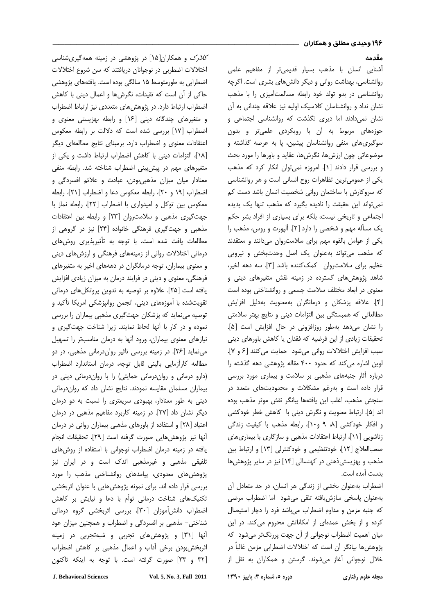#### مقدمه

آشنایی انسان با مذهب بسیار قدیمیتر از مفاهیم علمی روانشناسی، بهداشت روانی و دیگر دانشهای بشری است. اگرچه روانشناسی در بدو تولد خود رابطه مسالمتأمیزی را با مذهب نشان نداد و روانشناسان کلاسیک اولیه نیز علاقه چندانی به آن نشان نمیدادند اما دیری نگذشت که روانشناسی اجتماعی و حوزههای مربوط به آن با رویکردی علمیتر و بدون سوگیریهای منفی روانشناسان پیشین، پا به عرصه گذاشته و موضوعاتی چون ارزشها، نگرشها، عقاید و باورها را مورد بحث و بررسی قرار دادند [۱]. امروزه نمیتوان انکار کرد که مذهب یکی از عمومیترین تظاهرات روح انسانی است و هر روانشناسی که سروکارش با ساختمان روانی شخصیت انسان باشد دست کم نمیتواند این حقیقت را نادیده بگیرد که مذهب تنها یک پدیده اجتماعی و تاریخی نیست، بلکه برای بسیاری از افراد بشر حکم یک مسأله مهم و شخصی را دارد [۲]. ألپورت و روس، مذهب را یکی از عوامل بالقوه مهم برای سلامتروان میدانند و معتقدند که مذهب میتواند بهعنوان یک اصل وحدتبخش و نیرویی عظیم برای سلامتروان کمککننده باشد [۳]. سه دهه اخیر، شاهد پژوهشهای گسترده در زمینه نقش متغیرهای دینی و معنوی در ابعاد مختلف سلامت جسمی و روانشناختی بوده است [۴]. علاقه پزشكان و درمانگران بهمعنويت بهدليل افزايش مطالعاتی که همبستگی بین التزامات دینی و نتایج بهتر سلامتی را نشان میدهد بهطور روزافزونی در حال افزایش است [۵]. تحقیقات زیادی از این فرضیه که فقدان یا کاهش باورهای دینی سبب افزایش اختلالات روانی میشود حمایت میکنند [۶ و ۷]. لوین اشاره میکند که حدود ۴۰۰ مقاله پژوهشی دهه گذشته را درباره أثار جنبههای مذهبی بر سلامت و بیماری مورد بررسی قرار داده است و بهرغم مشکلات و محدودیتهای متعدد در سنجش مذهب، اغلب اين يافتهها بيانگر نقش موثر مذهب بوده اند [۵]. ارتباط معنویت و نگرش دینی با کاهش خطر خودکشی و افکار خودکشی [۸، ۹ و۱۰]، رابطه مذهب با کیفیت زندگی زناشویی [۱۱]، ارتباط اعتقادات مذهبی و سازگاری با بیماریهای صعبالعلاج [۱۲]، خودتنظیمی و خودکنترلی [۱۳] و ارتباط بین مذهب و بهزیستیذهنی در کهنسالی [۱۴] نیز در سایر پژوهشها بدست آمده است.

اضطراب بهعنوان بخشی از زندگی هر انسان، در حد متعادل آن بهعنوان پاسخی سازشیافته تلقی میشود اما اضطراب مرضی که جنبه مزمن و مداوم اضطراب میباشد فرد را دچار استیصال کرده و از بخش عمدهای از امکاناتش محروم میکند. در این میان اهمیت اضطراب نوجوانی از آن جهت پررنگ¤ر میشود که پژوهشها بیانگر آن است که اختلالات اضطرابی مزمن غالباً در خلال نوجوانی آغاز میشوند. گرستن و همکاران به نقل از

مجله علوم رفتار

ک*لارک* و همکاران[۱۵] در پژوهشی در زمینه همهگیریشناسی اختلالات اضطربی در نوجوانان دریافتند که سن شروع اختلالات اضطرابی به طورمتوسط ۱۵ سالگی بوده است. یافتههای پژوهشی حاکی از آن است که تقیدات، نگرشها و اعمال دینی با کاهش اضطراب ارتباط دارد. در پژوهشهای متعددی نیز ارتباط اضطراب و متغیرهای چندگانه دینی [۱۶] و رابطه بهزیستی معنوی و اضطراب [۱۷] بررسی شده است که دلالت بر رابطه معکوس اعتقادات معنوى و اضطراب دارد. برمبناى نتايج مطالعهاى ديگر [۱۸]، التزامات دینی با کاهش اضطراب ارتباط داشت و یکی از متغیرهای مهم در پیش بینی اضطراب شناخته شد. رابطه منفی معنادار میان میزان مذهبیبودن، عبادت و علائم افسردگی و اضطراب [١٩ و ٢٠]، رابطه معكوس دعا و اضطراب [٢١]، رابطه معكوس بين توكل و اميدوارى با اضطراب [٢٢]، رابطه نماز با جهت گیری مذهبی و سلامتروان [۲۳] و رابطه بین اعتقادات مذهبی و جهتگیری فرهنگی خانواده [۲۴] نیز در گروهی از مطالعات یافت شده است. با توجه به تأثیرپذیری روش های درمانی اختلالات روانی از زمینههای فرهنگی و ارزشهای دینی و معنوی بیماران، توجه درمانگران در دهههای اخیر به متغیرهای فرهنگی، معنوی و دینی در فرایند درمان به میزان زیادی افزایش یافته است [۲۵]. علاوه بر توصیه به تدوین پروتکلهای درمانی تقويتشده با أموزههاى دينى، انجمن روانپزشكى امريكا تأكيد و توصیه مینماید که پزشکان جهتگیری مذهبی بیماران را بررسی نموده و در كار با آنها لحاظ نمايند. زيرا شناخت جهت گيرى و نیازهای معنوی بیماران، ورود أنها به درمان مناسبتر را تسهیل مینماید [۲۶]. در زمینه بررسی تاثیر رواندرمانی مذهبی، در دو مطالعه كارأزمايي باليني قابل توجه، درمان استاندارد اضطراب (دارو درمانی و رواندرمانی حمایتی) را با رواندرمانی دینی در بیماران مسلمان مقایسه نمودند. نتایج نشان داد که رواندرمانی دینی به طور معنادار، بهبودی سریعتری را نسبت به دو درمان دیگر نشان داد [۲۷]. در زمینه کاربرد مفاهیم مذهبی در درمان اعتیاد [۲۸] و استفاده از باورهای مذهبی بیماران روانی در درمان أنها نيز پژوهشهايي صورت گرفته است [٢٩]. تحقيقات انجام یافته در زمینه درمان اضطراب نوجوانی با استفاده از روشهای تلفیقی مذهبی و غیرمذهبی اندک است و در ایران نیز پژوهشهای معدودی، پیامدهای روانشناختی مذهب را مورد بررسی قرار داده اند. برای نمونه پژوهشهایی با عنوان اثربخشی تکنیکهای شناخت درمانی توأم با دعا و نیایش بر کاهش اضطراب دانش[موزان [۳۰]، بررسی اثربخشی گروه درمانی شناختی– مذهبی بر افسردگی و اضطراب و همچنین میزان عود آنها [۳۱] و پژوهشهای تجربی و شبهتجربی در زمینه اثربخشبودن برخی أداب و اعمال مذهبی بر کاهش اضطراب [٣٢ و ٣٣] صورت گرفته است. با توجه به اينكه تاكنون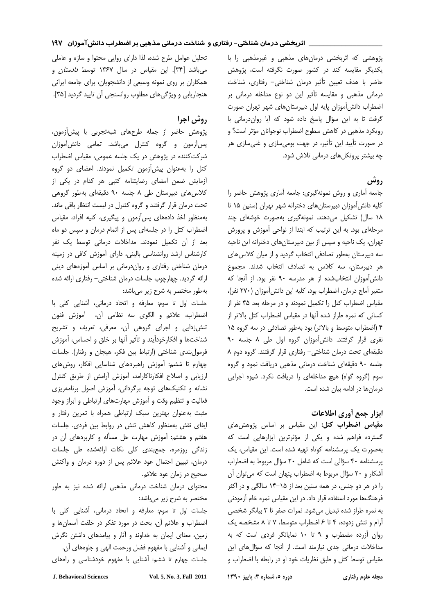پژوهشی که اثربخشی درمانهای مذهبی و غیرمذهبی را با یکدیگر مقایسه کند در کشور صورت نگرفته است، پژوهش حاضر با هدف تعیین تأثیر درمان شناختی- رفتاری، شناخت درمانی مذهبی و مقایسه تأثیر این دو نوع مداخله درمانی بر اضطراب دانش آموزان پایه اول دبیرستانهای شهر تهران صورت گرفت تا به این سؤال پاسخ داده شود که آیا روان درمانی با رویکرد مذهبی در کاهش سطوح اضطراب نوجوانان مؤثر است؟ و در صورت تأیید این تأثیر، در جهت بومی سازی و غنی سازی هر چه بیشتر پروتکلهای درمانی تلاش شود.

## روش

جامعه آماری و روش نمونهگیری: جامعه آماری پژوهش حاضر را کلیه دانش آموزان دبیرستان های دخترانه شهر تهران (سنین ۱۵ تا ١٨ سال) تشكيل مى دهند. نمونهگيرى بهصورت خوشهاى چند مرحلهای بود. به این ترتیب که ابتدا از نواحی آموزش و پرورش تهران، یک ناحیه و سپس از بین دبیرستانهای دخترانه این ناحیه سه دبیرستان بهطور تصادفی انتخاب گردید و از میان کلاس های هر دبیرستان، سه کلاس به تصادف انتخاب شدند. مجموع دانش آموزان انتخاب شده از هر مدرسه ۹۰ نفر بود. از آنجا که متغير آماج درمان، اضطراب بود، كليه اين دانش آموزان (٢٧٠ نفر)، مقیاس اضطراب کتل را تکمیل نمودند و در مرحله بعد ۴۵ نفر از کسانی که نمره طراز شده آنها در مقیاس اضطراب کتل بالاتر از ۴ (اضطراب متوسط و بالاتر) بود بهطور تصادفی در سه گروه ۱۵ نفري قرار گرفتند. دانش آموزان گروه اول طی ۸ جلسه ۹۰ دقیقهای تحت درمان شناختی- رفتاری قرار گرفتند. گروه دوم ۸ جلسه ۹۰ دقیقهای شناخت درمانی مذهبی دریافت نمود و گروه سوم (گروه گواه) هیچ مداخلهای را دریافت نکرد. شیوه اجرایی درمان ها در ادامه بیان شده است.

## ابزار جمع أورى اطلاعات

مقیاس اضطراب کتل: این مقیاس بر اساس پژوهشهای گسترده فراهم شده و یکی از مؤثرترین ابزارهایی است که بهصورت یک پرسشنامه کوتاه تهیه شده است. این مقیاس، یک پرسشنامه ۴۰ سؤالی است که شامل ۲۰ سؤال مربوط به اضطراب آشکار و ۲۰ سؤال مربوط به اضطراب پنهان است که می توان آن را در هر دو جنس، در همه سنین بعد از ۱۵–۱۴ سالگی و در اکثر فرهنگها مورد استفاده قرار داد. در این مقیاس نمره خام آزمودنی به نمره طراز شده تبدیل می شود. نمرات صفر تا ۳ بیانگر شخصی آرام و تنش زدوده، ۴ تا ۶ اضطراب متوسط، ۷ تا ۸ مشخصه یک روان آزرده مضطرب و ۹ تا ۱۰ نمایانگر فردی است که به مداخلات درمانی جدی نیازمند است. از آنجا که سؤال های این مقياس توسط كتل و طبق نظريات خود او در رابطه با اضطراب و

دوره ٥، شماره ٣، پاییز ١٣٩٠

مجله علوم رفتاري

تحلیل عوامل طرح شده، لذا دارای روایی محتوا و سازه و عاملی میباشد [۳۴]. این مقیاس در سال ۱۳۶۷ توسط *دادستان* و همکاران بر روی نمونه وسیعی از دانشجویان، برای جامعه ایرانی هنجاریابی و ویژگی های مطلوب روانسنجی آن تایید گردید [۳۵].

# روش اجرا

پژوهش حاضر از جمله طرحهای شبهتجربی با پیشآزمون، پس آزمون و گروه كنترل مى باشد. تمامى دانش آموزان شر کت کننده در پژوهش در یک جلسه عمومی، مقیاس اضطراب کتل را به عنوان پیش آزمون تکمیل نمودند. اعضای دو گروه آزمایش ضمن امضای رضایتنامه کتبی هر کدام در یکی از کلاس های دبیرستان طی ۸ جلسه ۹۰ دقیقهای بهطور گروهی تحت درمان قرار گرفتند و گروه کنترل در لیست انتظار باقی ماند. بهمنظور اخذ دادههای پس آزمون و پیگیری، کلیه افراد، مقیاس اضطراب کتل را در جلسهای پس از اتمام درمان و سپس دو ماه بعد از آن تکمیل نمودند. مداخلات درمانی توسط یک نفر کارشناس ارشد روانشناسی بالینی، دارای آموزش کافی در زمینه درمان شناختی رفتاری و روان درمانی بر اساس آموزههای دینی ارائه گردید. چهارچوب جلسات درمان شناختی- رفتاری ارائه شده بهطور مختصر به شرح زير مىباشد:

جلسات اول تا سوم: معارفه و اتحاد درمانی، آشنایی کلی با اضطراب، علائم و الكوى سه نظامى أن، أموزش فنون تنشزدایی و اجرای گروهی آن، معرفی، تعریف و تشریح شناختها و افکارخودآیند و تأثیر آنها بر خلق و احساس، آموزش فرمول بندی شناختی (ارتباط بین فکر، هیجان و رفتار). جلسات چهارم تا ششم: آموزش راهبردهای شناسایی افکار، روشهای ارزیابی و اصلاح افکارناکارامد، آموزش آرامش از طریق کنترل نشانه و تکنیکهای توجه برگردانی، آموزش اصول برنامهریزی فعالیت و تنظیم وقت و آموزش مهارتهای ارتباطی و ابراز وجود مثبت بهعنوان بهترين سبك ارتباطي همراه با تمرين رفتار و ایفای نقش بهمنظور کاهش تنش در روابط بین فردی. جلسات هفتم و هشتم: آموزش مهارت حل مسأله و كاربردهاى آن در زندگی روزمرہ، جمعبندی کلی نکات ارائهشده طی جلسات درمان، تبيين احتمال عود علائم پس از دوره درمان و واكنش صحيح در زمان عود علائم.

محتوای درمان شناخت درمانی مذهبی ارائه شده نیز به طور مختصر به شرح زير ميباشد:

جلسات اول تا سوم: معارفه و اتحاد درمانی، آشنایی کلی با اضطراب و علائم آن، بحث در مورد تفکر در خلقت آسمانها و زمین، معنای ایمان به خداوند و آثار و پیامدهای داشتن نگرش ايماني و آشنايي با مفهوم فضل ورحمت الهي و جلوههاي آن. جلسات چهارم تا ششم: آشنایی با مفهوم خودشناسی و راههای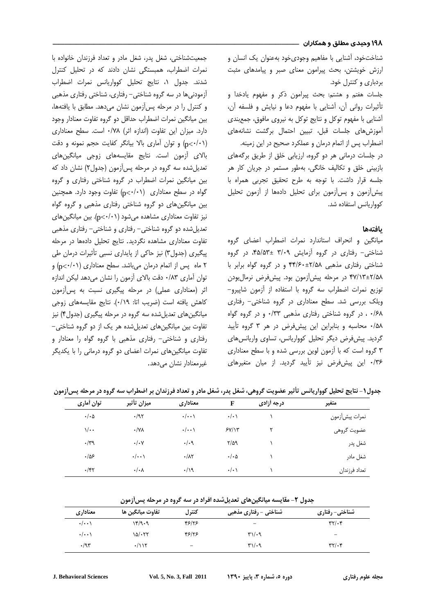۱۹۸ وحیدی مطلق و همکاران ۱

شناختخود، آشنایی با مفاهیم وجودیخود بهعنوان یک انسان و ارزش خویشتن، بحث پیرامون معنای صبر و پیامدهای مثبت بردباری و کنترل خود.

جلسات هفتم و هشتم: بحث پیرامون ذکر و مفهوم یادخدا و تأثیرات روانی آن، آشنایی با مفهوم دعا و نیایش و فلسفه آن، آشنایی با مفهوم توکل و نتایج توکل به نیروی مافوق، جمعبندی آموزش های جلسات قبل، تبیین احتمال برگشت نشانههای اضطراب پس از اتمام درمان و عملکرد صحیح در این زمینه.

در جلسات درمانی هر دو گروه، ارزیابی خلق از طریق برگههای بازبینی خلق و تکالیف خانگی، بهطور مستمر در جریان کار هر جلسه قرار داشت. با توجه به طرح تحقیق تجربی همراه با پیش آزمون و پس آزمون برای تحلیل دادهها از آزمون تحلیل كوواريانس استفاده شد.

### بافتهها

میانگین و انحراف استاندارد نمرات اضطراب اعضای گروه شناختی- رفتاری در گروه آزمایش ۳/۰۹ ±۴۵/۵۳، در گروه شناختی رفتاری مذهبی ۴۴/۶۰±۲۴/۵۸ و در گروه گواه برابر با ۴۷/۱۳±۲/۵۸ در مرحله پیش آزمون بود. پیش فرض نرمالبودن توزيع نمرات اضطراب سه گروه با استفاده از آزمون شاپيرو-ویلک بررسی شد. سطح معناداری در گروه شناختی- رفتاری ۰/۶۸ ، در گروه شناختی رفتاری مذهبی ۰/۳۳ و در گروه گواه ۰/۵۸ محاسبه و بنابراین این پیشفرض در هر ۳ گروه تأیید گردید. پیش فرض دیگر تحلیل کوواریانس، تساوی واریانس های ۳ گروه است که با آزمون لوین بررسی شده و با سطح معناداری ۰/۳۶ این پیشفرض نیز تأیید گردید. از میان متغیرهای

جمعیتشناختی، شغل پدر، شغل مادر و تعداد فرزندان خانواده با نمرات اضطراب، همبستگی نشان دادند که در تحلیل کنترل شدند. جدول ١، نتايج تحليل كوواريانس نمرات اضطراب آزمودنی ها در سه گروه شناختی – رفتاری، شناختی رفتاری مذهبی و كنترل را در مرحله پس آزمون نشان مى دهد. مطابق با يافتهها، بین میانگین نمرات اضطراب حداقل دو گروه تفاوت معنادار وجود دارد. میزان این تفاوت (اندازه اثر) ۰/۷۸ است. سطح معناداری (p </-1) وتوان آماری بالا بیانگر کفایت حجم نمونه و دقت بالای آزمون است. نتایج مقایسههای زوجی میانگینهای تعدیل شده سه گروه در مرحله پس آزمون (جدول۲) نشان داد که بین میانگین نمرات اضطراب در گروه شناختی رفتاری و گروه  $\mathcal{L}_{\mathbf{D}}$ گواه در سطح معناداری  $(\mathbf{p}\langle\cdot\rangle, \mathbf{p})$  تفاوت وجود دارد. همچنین بین میانگینهای دو گروه شناختی رفتاری مذهبی و گروه گواه نیز تفاوت معناداری مشاهده میشود (p<(·/·)). بین میانگینهای تعدیل شده دو گروه شناختی- رفتاری و شناختی- رفتاری مذهبی تفاوت معناداری مشاهده نگردید. نتایج تحلیل دادهها در مرحله پیگیری (جدول۳) نیز حاکی از پایداری نسبی تأثیرات درمان طی ۲ ماه پس از اتمام درمان میباشد. سطح معناداری (p<+/p< توان آماری ۰/۸۳ دقت بالای آزمون را نشان می دهد لیکن اندازه اثر (معناداری عملی) در مرحله پیگیری نسبت به پس آزمون كاهش يافته است (ضريب اتا: ٠/١٩). نتايج مقايسههاى زوجى میانگینهای تعدیل شده سه گروه در مرحله پیگیری (جدول۴) نیز تفاوت بين ميانگينهاي تعديل شده هر يک از دو گروه شناختي-رفتاری و شناختی- رفتاری مذهبی با گروه گواه را معنادار و تفاوت میانگینهای نمرات اعضای دو گروه درمانی را با یکدیگر غيرمعنادار نشان مي دهد.

| توان أماري           | ميزان تأثير          | معناداري            | F                    | درجه أزادى | متغير          |
|----------------------|----------------------|---------------------|----------------------|------------|----------------|
| $\cdot/\cdot \Delta$ | $\cdot$ /95          | $\cdot/\cdot\cdot$  | $\cdot/\cdot$        |            | نمرات پيشأزمون |
| $\sqrt{\cdot \cdot}$ | $\cdot$ /YA          | $\cdot/\cdot\cdot$  | 5Y/Y                 | ٢          | عضويت گروهي    |
| $\cdot$ /۳۹          | $\cdot/\cdot$ Y      | $\cdot/\cdot$ ٩     | $Y/\Delta$ 9         |            | شغل پدر        |
| ۹۵۶.                 | $\cdot/\cdot\cdot$   | $\cdot/\lambda\tau$ | $\cdot/\cdot \Delta$ |            | شغل مادر       |
| $\cdot$ /۴۲          | $\cdot/\cdot \wedge$ | $\cdot/\gamma$      | $\cdot/\cdot$        |            | تعداد فرزندان  |

جدول ۱- نتایج تحلیل کوواریانس تأثیر عضویت گروهی، شغل پدر، شغل مادر و تعداد فرزندان بر اضطراب سه گروه در مرحله پسآزمون

جدول ۲- مقایسه میانگینهای تعدیلشده افراد در سه گروه در مرحله پسآزمون

| معناداري           | تفاوت ميانگين ها  | كنترل | شناختی - رفتاری مذهبی        | شناختی- رفتاری                       |
|--------------------|-------------------|-------|------------------------------|--------------------------------------|
| $\cdot/\cdot\cdot$ | ۱۴/۹۰۹            | ۴۶۱۲۶ | $\overline{\phantom{0}}$     | $\mathbf{r} \mathbf{r} / \mathbf{r}$ |
| $\cdot/\cdot\cdot$ | $\delta/\cdot$ ۲۲ | 48/28 | $\mathbf{r}\wedge\mathbf{r}$ | $\overline{\phantom{0}}$             |
| $\cdot$ /95        | ۰/۱۱۲             | -     | $\mathbf{r}\wedge\mathbf{r}$ | $\mathbf{r} \mathbf{r} / \mathbf{r}$ |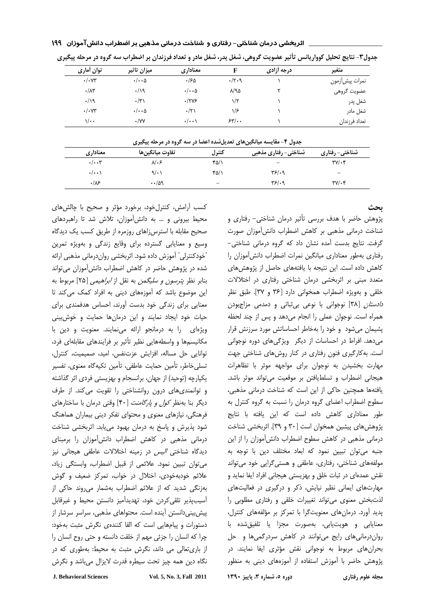| متغير          | درجه آزادی |               | معناداري             | ميزان تاثير                 | توان آماری                 |
|----------------|------------|---------------|----------------------|-----------------------------|----------------------------|
| نمرات پيشأزمون |            | $\cdot$ /۲۰۹  | ۱۶۵.                 | $\cdot/\cdot\cdot$ $\Delta$ | $\cdot/\cdot$ YY           |
| عضويت گروهي    |            | $\lambda$ /92 | $\cdot/\cdot\cdot$ ۵ | $\cdot/\gamma$              | $\cdot/\lambda\tau$        |
| شغل پدر        |            | ۱/۲           | .7795                | $\cdot/\tau$                | $\cdot/\gamma$             |
| شغل مادر       |            | ۱۱۶           | $\cdot/\tau$         | $\cdot/\cdot\cdot$ ۵        | $\cdot/\cdot$ YY           |
| تعداد فرزندان  |            | 55'.          | $\cdot/\cdot\cdot$   | $\cdot$ /YY                 | $\sqrt{\cdot \cdot \cdot}$ |

اثربخشی درمان شناختی- رفتاری و شناخت درمانی مذهبی بر اضطراب دانشآموزان ۱۹۹

جدول۳- نتایج تحلیل کوواریانس تأثیر عضویت گروهی، شغل پدر، شغل مادر و تعداد فرزندان بر اضطراب سه گروه در مرحله پیگیری

| جدول ۴- مقایسه میانگینهای تعدیلشده اعضا در سه گروه در مرحله پیگیری |  |  |  |  |
|--------------------------------------------------------------------|--|--|--|--|
|--------------------------------------------------------------------|--|--|--|--|

| ---<br><br>$-$ .<br>- - - -<br>$\overline{\phantom{a}}$<br>. |                   |                 |                          |                          |  |  |
|--------------------------------------------------------------|-------------------|-----------------|--------------------------|--------------------------|--|--|
| معناداري                                                     | تفاوت ميانگينها   | كنترل           | شناختی- رفتاری مذهبی     | شناختی- رفتاری           |  |  |
| $\cdot/\cdot\cdot$ ۳                                         | ۶۰ /۸             | ۴۵/۱            | $\overline{\phantom{0}}$ | $\mathbf{y}/\mathbf{y}$  |  |  |
| $\cdot/\cdot\cdot$                                           | 9/1               | ۴۵/۱            | ۳۶/۰۹                    | $\overline{\phantom{a}}$ |  |  |
| .18                                                          | $\cdot \cdot$ /59 | $\qquad \qquad$ | ۳۶/۰۹                    | ۳۷/۰۴                    |  |  |

#### ىحث

پژوهش حاضر با هدف بررسی تأثیر درمان شناختی– رفتاری و شناخت درمانی مذهبی بر کاهش اضطراب دانش آموزان صورت گرفت. نتایج بدست آمده نشان داد که گروه درمانی شناختی-رفتاری بهطور معناداری میانگین نمرات اضطراب دانش آموزان را كاهش داده است. این نتیجه با یافتههای حاصل از پژوهشهای متعدد مبنی بر اثربخشی درمان شناختی رفتاری در اختلالات خلقي و بهويژه اضطراب همخواني دارد [۳۶ و ۳۷]. طبق نظر د*ادستان* [۳۸] نوجوانی با نوعی بی ثباتی و دمدمی مزاجبودن همراه است. نوجوان عملی را انجام می دهد و پس از چند لحظه پشیمان میشود و خود را بهخاطر احساساتش مورد سرزنش قرار می دهد. افراط در احساسات از دیگر ویژگیهای دوره نوجوانی است. به کارگیری فنون رفتاری در کنار روشهای شناختی جهت مهارت بخشیدن به نوجوان برای مواجهه موثر با تظاهرات هیجانی اضطراب و تسلطیافتن بر موقعیت می تواند موثر باشد. یافتهها همچنین حاکی از این است که شناخت درمانی مذهبی، سطوح اضطراب اعضای گروه درمان را نسبت به گروه کنترل به طور معناداری کاهش داده است که این یافته با نتایج پژوهش های پیشین همخوان است [۳۰ و ۳۹]. اثربخشی شناخت درمانی مذهبی در کاهش سطوح اضطراب دانش آموزان را از این جنبه می توان تبیین نمود که ابعاد مختلف دین با توجه به مولفههای شناختی، رفتاری، عاطفی و هستی گرایی خود می تواند نقش عمدهای در ثبات خلق و بهزیستی هیجانی افراد ایفا نماید و مهارتهای ایمانی نظیر نیایش، ذکر و درگیری در فعالیتهای لذت بخش معنوى مى تواند تغييرات خلقى و رفتارى مطلوبى را پدید آورد. درمان های معنویتگرا با تمرکز بر مؤلفههای کنترل، معنایابی و هویتیابی، بهصورت مجزا یا تلفیقشده با روان درمانی های رایج می توانند در کاهش سردرگمی ها و حل بحران های مربوط به نوجوانی نقش مؤثری ایفا نمایند. در پژوهش حاضر با آموزش استفاده از آموزههای دینی به منظور

دوره ٥، شماره ٣، پاییز ١٣٩٠

کسب أرامش، کنترلخود، برخورد مؤثر و صحیح با چالشهای محیط بیرونی و … به دانش آموزان، تلاش شد تا راهبردهای صحیح مقابله با استرس;اهای روزمره از طریق کسب یک دیدگاه وسیع و معنایابی گسترده برای وقایع زندگی و بهویژه تمرین "خودكنترلي" آموزش داده شود. اثربخشي رواندرماني مذهبي ارائه شده در پژوهش حاضر در کاهش اضطراب دانشآموزان می تواند بنابر نظر *پترسون و سلیگمن* به نقل از *ابراهیمی* [۲۵] مربوط به این موضوع باشد که آموزههای دینی به افراد کمک می کند تا معنایی برای زندگی خود بدست آورند، احساس هدفمندی برای حیات خود ایجاد نمایند و این درمانها حمایت و خوشبینی ویژهای را به درمانجو ارائه می نمایند. معنویت و دین با مکانیسمها و واسطههایی نظیر تأثیر بر فرایندهای مقابلهای فرد، توانایی حل مساله، افزایش عزتنفس، امید، صمیمیت، کنترل، تسلي خاطر، تأمين حمايت عاطفي، تأمين تكيهگاه معنوي، تفسير یکپارچه (توحید) از جهان، برانسجام و بهزیستی فردی اثر گذاشته و توانمندی های درون روانشناختی را تقویت می کند. از طرف دیگر بنا بهنظر *کول و پارگامنت* [۴۰] وقتی درمان با ساختارهای فرهنگی، نیازهای معنوی و محتوای تفکر دینی بیماران هماهنگ شود پذیرش و پاسخ به درمان بهبود می یابد. اثربخشی شناخت درمانی مذهبی در کاهش اضطراب دانش آموزان را برمبنای دیدگاه شناختی *الیس* در زمینه اختلالات عاطفی هیجانی نیز می توان تبیین نمود. علائمی از قبیل اضطراب، وابستگی زیاد، علائم خودبهخودی، اختلال در خواب، تمرکز ضعیف و گوش بەزنگى شديد كه از علائم اضطراب بەشمار مىروند حاكى از آسيبيذير تلقى كردن خود، تهديدآميز دانستن محيط و غيرقابل پیش بینی دانستن آینده است. محتواهای مذهبی، سراسر سرشار از دستورات و پیامهایی است که القا کنندهی نگرش مثبت بهخود: چرا كه انسان را جزئى مهم از خلقت دانسته و حتى روح انسان را از باری تعالی می داند، نگرش مثبت به محیط: بهطوری که در نگاه دین همه چیز تحت سیطره قدرت لایزال میباشد و نگرش

**J. Behavioral Sciences**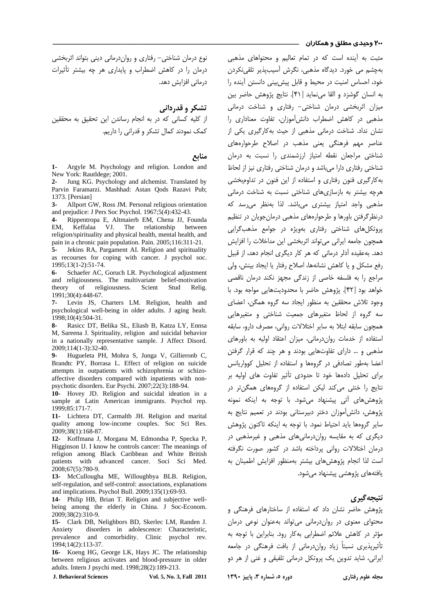#### <mark>۲۰۰</mark> وحیدی مطلق و هم*ک*اران ۔

نوع درمان شناختی – رفتاری و رواندرمانی دینی بتواند اثربخشی درمان را در کاهش اضطراب و پایداری هر چه بیشتر تأثیرات درمانی افزایش دهد.

تشکر و قدردانی

از کلیه کسانی که در به انجام رساندن این تحقیق به محققین کمک نمودند کمال تشکر و قدرانی را داریم.

## منابع

1- Argyle M. Psychology and religion. London and New York: Rautldege: 2001.

2- Jung KG. Psychology and alchemist. Translated by Parvin Faramarzi. Mashhad: Astan Qods Razavi Pub; 1373. [Persian]

 $3 -$ Allport GW, Ross JM. Personal religious orientation and prejudice: J Pers Soc Psychol. 1967;5(4):432-43.

Rippentropa E, Altmaierb EM, Chena JJ, Founda  $\mathbf{4}$ VJ. The relationship EM. Keffalaa between religion/spirituality and physical health, mental health, and pain in a chronic pain population. Pain. 2005;116:311-21.

Jekins RA, Pargament AI. Religion and spirituality  $5$ as recourses for coping with cancer. J psychol soc. 1995;13(1-2):51-74.

 $6-$ Schaefer AC, Goruch LR. Psychological adjustment and religiousness. The multivariate belief-motivation theory  $\alpha$ f religiousness. Scient Stud Relig. 1991;30(4):448-67.

 $7-$ Levin JS, Charters LM. Religion, health and psychological well-being in older adults. J aging healt. 1998:10(4):504-31.

Rasicc DT, Belika SL, Eliasb B, Katza LY, Ennsa  $\mathbf{8}$ M, Sareena J. Spirituality, religion and suicidal behavior in a nationally representative sample. J Affect Disord. 2009;114(1-3):32-40.

Hugueleta PH, Mohra S, Junga V, Gillieronb C,  $\mathbf{Q}_{\bullet}$ Brandtc PY, Borrasa L. Effect of religion on suicide attempts in outpatients with schizophrenia or schizoaffective disorders compared with inpatients with nonpsychotic disorders. Eur Psychi. 2007;22(3):188-94.

10- Hovey JD. Religion and suicidal ideation in a sample at Latin American immigrants. Psychol rep. 1999;85:171-7.

11- Lichtera DT, Carmaltb JH. Religion and marital quality among low-income couples. Soc Sci Res. 2009;38(1):168-87.

12- Koffmana J. Morgana M. Edmondsa P. Specka P. Higginson IJ. I know he controls cancer: The meanings of religion among Black Caribbean and White British patients with advanced cancer. Soci Sci Med. 2008;67(5):780-9.

13- McCullougha ME, Willoughbya BLB. Religion, self-regulation, and self-control: associations, explanations and implications. Psychol Bull. 2009;135(1):69-93.

14- Philip HB, Brian T. Religion and subjective wellbeing among the elderly in China. J Soc-Econom. 2009;38(2):310-9.

15- Clark DB, Nelighbors BD, Skerlec LM, Randen J. disorders in adolescence: Characteristic, Anxiety prevalence and comorbidity. Clinic psychol rev. 1994;14(2):113-37.

16- Koeng HG, George LK, Hays JC. The relationship between religious activates and blood-pressure in older adults. Intern J psychi med. 1998;28(2):189-213.

**J. Behavioral Sciences** 

Vol. 5, No. 3, Fall 2011

مثبت به آینده است که در تمام تعالیم و محتواهای مذهبی بهچشم می خورد. دیدگاه مذهبی، نگرش آسیبپذیر تلقی نکردن خود، احساس امنیت در محیط و قابل پیش بینی دانستن آینده را به انسان گوشزد و القا می نماید [۴۱]. نتایج پژوهش حاضر بین میزان اثربخشی درمان شناختی- رفتاری و شناخت درمانی مذهبی در کاهش اضطراب دانش آموزان، تفاوت معناداری را نشان نداد. شناخت درمانی مذهبی از حیث به کارگیری یکی از عناصر مهم فرهنگی یعنی مذهب در اصلاح طرحوارههای شناختی مراجعان نقطه امتیاز ارزشمندی را نسبت به درمان شناختی رفتاری دارا میباشد و درمان شناختی رفتاری نیز از لحاظ به کارگیری فنون رفتاری و استفاده از این فنون در تداوم بخشی هرچه بیشتر به بازسازیهای شناختی نسبت به شناخت درمانی مذهبی واجد امتیاز بیشتری می,باشد. لذا بەنظر می,رسد که درنظر گرفتن باورها و طرحوارههای مذهبی درمان جویان در تنظیم پروتکل های شناختی رفتاری بهویژه در جوامع مذهب گرایی همچون جامعه ایرانی می تواند اثربخشی این مداخلات را افزایش دهد. بهعقیده آدلر درمانی که هر کار دیگری انجام دهد، از قبیل رفع مشكل و يا كاهش نشانهها، اصلاح رفتار يا ايجاد بينش، ولي مراجع را به فلسفه خاصی از زندگی مجهز نکند درمان ناقصی خواهد بود [۴۲]. پژوهش حاضر با محدودیتهایی مواجه بود. با وجود تلاش محققین به منظور ایجاد سه گروه همگن، اعضای سه گروه از لحاظ متغیرهای جمعیت شناختی و متغیرهایی همچون سابقه ابتلا به سایر اختلالات روانی، مصرف دارو، سابقه استفاده از خدمات روان درمانی، میزان اعتقاد اولیه به باورهای مذهبی و … دارای تفاوتهایی بودند و هر چند که قرار گرفتن اعضا بهطور تصادفى در گروهها و استفاده از تحليل كوواريانس برای تحلیل دادهها خود تا حدودی تأثیر تفاوت های اولیه بر نتایج را خنثی می کند لیکن استفاده از گروههای همگن تر در پژوهش های آتی پیشنهاد می شود. با توجه به اینکه نمونه بژوهش، دانش آموزان دختر دبیرستانی بودند در تعمیم نتایج به سایر گروهها باید احتیاط نمود. با توجه به اینکه تاکنون پژوهش دیگری که به مقایسه رواندرمانیهای مذهبی و غیرمذهبی در درمان اختلالات روانی پرداخته باشد در کشور صورت نگرفته است لذا انجام پژوهش های بیشتر بهمنظور افزایش اطمینان به یافتههای پژوهشی پیشنهاد می شود.

#### نتيجه گيري

یژوهش حاضر نشان داد که استفاده از ساختارهای فرهنگی و محتوای معنوی در رواندرمانی می تواند بهعنوان نوعی درمان مؤثر در كاهش علائم اضطرابي بهكار رود. بنابراين با توجه به تأثیرپذیری نسبتاً زیاد رواندرمانی از بافت فرهنگی در جامعه ايراني، شايد تدوين يک پروتکل درماني تلفيقي و غني از هر دو

دوره ٥، شماره ٣، پاییز ١٣٩٠

مجله علوم رفتاري